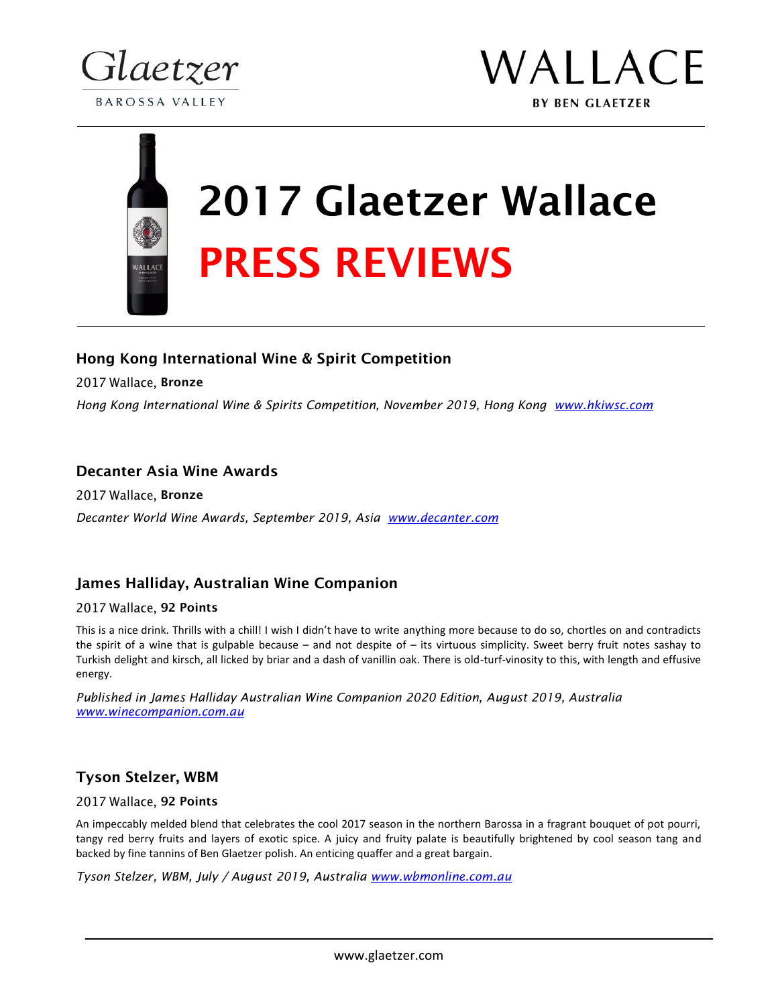



# 2017 Glaetzer Wallace PRESS REVIEWS

# Hong Kong International Wine & Spirit Competition

2017 Wallace, Bronze

*Hong Kong International Wine & Spirits Competition, November 2019, Hong Kong www.hkiwsc.com*

# Decanter Asia Wine Awards

2017 Wallace, Bronze *Decanter World Wine Awards, September 2019, Asia www.decanter.com*

# James Halliday, Australian Wine Companion

## 2017 Wallace, 92 Points

This is a nice drink. Thrills with a chill! I wish I didn't have to write anything more because to do so, chortles on and contradicts the spirit of a wine that is gulpable because – and not despite of – its virtuous simplicity. Sweet berry fruit notes sashay to Turkish delight and kirsch, all licked by briar and a dash of vanillin oak. There is old-turf-vinosity to this, with length and effusive energy.

*Published in James Halliday Australian Wine Companion 2020 Edition, August 2019, Australia www.winecompanion.com.au*

# Tyson Stelzer, WBM

## 2017 Wallace, 92 Points

An impeccably melded blend that celebrates the cool 2017 season in the northern Barossa in a fragrant bouquet of pot pourri, tangy red berry fruits and layers of exotic spice. A juicy and fruity palate is beautifully brightened by cool season tang and backed by fine tannins of Ben Glaetzer polish. An enticing quaffer and a great bargain.

*Tyson Stelzer, WBM, July / August 2019, Australia www.wbmonline.com.au*